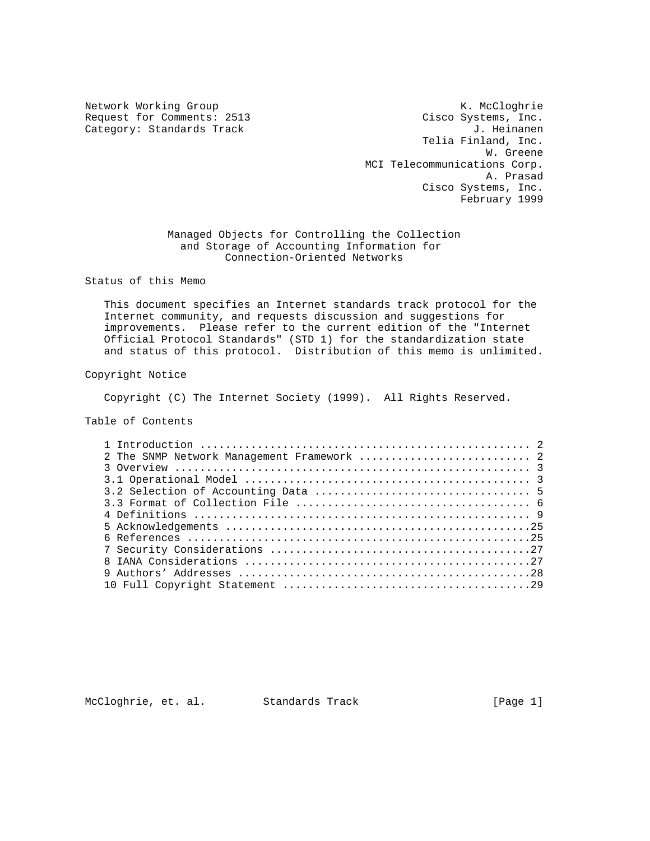Category: Standards Track

Network Working Group Network Working Group Network Working Group Request for Comments: 2513 Cisco Systems, Inc.<br>Category: Standards Track Gategory: Category: Standards Track Telia Finland, Inc. W. Greene MCI Telecommunications Corp. A. Prasad Cisco Systems, Inc. February 1999

> Managed Objects for Controlling the Collection and Storage of Accounting Information for Connection-Oriented Networks

Status of this Memo

 This document specifies an Internet standards track protocol for the Internet community, and requests discussion and suggestions for improvements. Please refer to the current edition of the "Internet Official Protocol Standards" (STD 1) for the standardization state and status of this protocol. Distribution of this memo is unlimited.

Copyright Notice

Copyright (C) The Internet Society (1999). All Rights Reserved.

Table of Contents

| 2 The SNMP Network Management Framework  2 |  |
|--------------------------------------------|--|
|                                            |  |
|                                            |  |
|                                            |  |
|                                            |  |
|                                            |  |
|                                            |  |
|                                            |  |
|                                            |  |
|                                            |  |
|                                            |  |
|                                            |  |
|                                            |  |

McCloghrie, et. al. Standards Track [Page 1]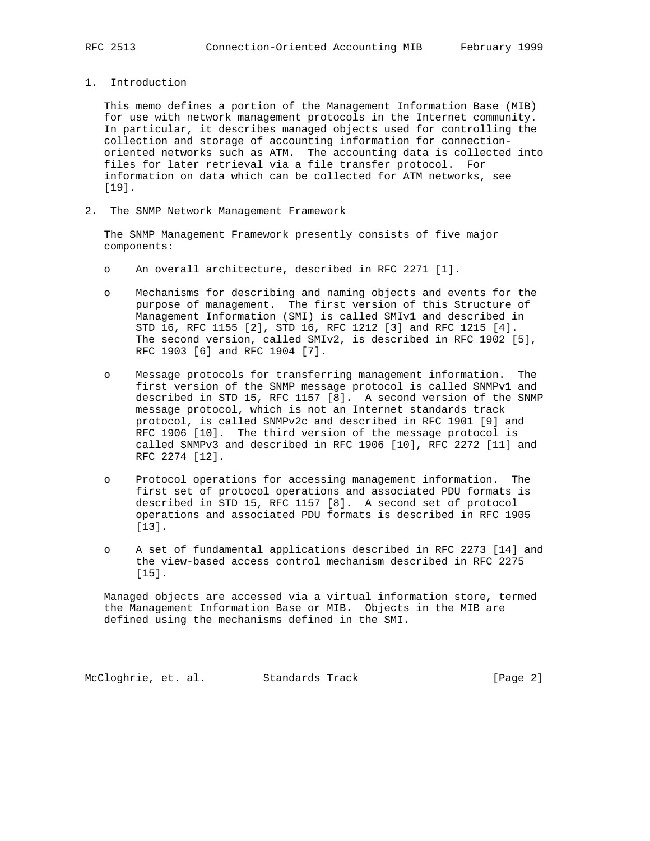1. Introduction

 This memo defines a portion of the Management Information Base (MIB) for use with network management protocols in the Internet community. In particular, it describes managed objects used for controlling the collection and storage of accounting information for connection oriented networks such as ATM. The accounting data is collected into files for later retrieval via a file transfer protocol. For information on data which can be collected for ATM networks, see [19].

2. The SNMP Network Management Framework

 The SNMP Management Framework presently consists of five major components:

- o An overall architecture, described in RFC 2271 [1].
- o Mechanisms for describing and naming objects and events for the purpose of management. The first version of this Structure of Management Information (SMI) is called SMIv1 and described in STD 16, RFC 1155 [2], STD 16, RFC 1212 [3] and RFC 1215 [4]. The second version, called SMIv2, is described in RFC 1902 [5], RFC 1903 [6] and RFC 1904 [7].
- o Message protocols for transferring management information. The first version of the SNMP message protocol is called SNMPv1 and described in STD 15, RFC 1157 [8]. A second version of the SNMP message protocol, which is not an Internet standards track protocol, is called SNMPv2c and described in RFC 1901 [9] and RFC 1906 [10]. The third version of the message protocol is called SNMPv3 and described in RFC 1906 [10], RFC 2272 [11] and RFC 2274 [12].
- o Protocol operations for accessing management information. The first set of protocol operations and associated PDU formats is described in STD 15, RFC 1157 [8]. A second set of protocol operations and associated PDU formats is described in RFC 1905 [13].
- o A set of fundamental applications described in RFC 2273 [14] and the view-based access control mechanism described in RFC 2275 [15].

 Managed objects are accessed via a virtual information store, termed the Management Information Base or MIB. Objects in the MIB are defined using the mechanisms defined in the SMI.

McCloghrie, et. al. Standards Track [Page 2]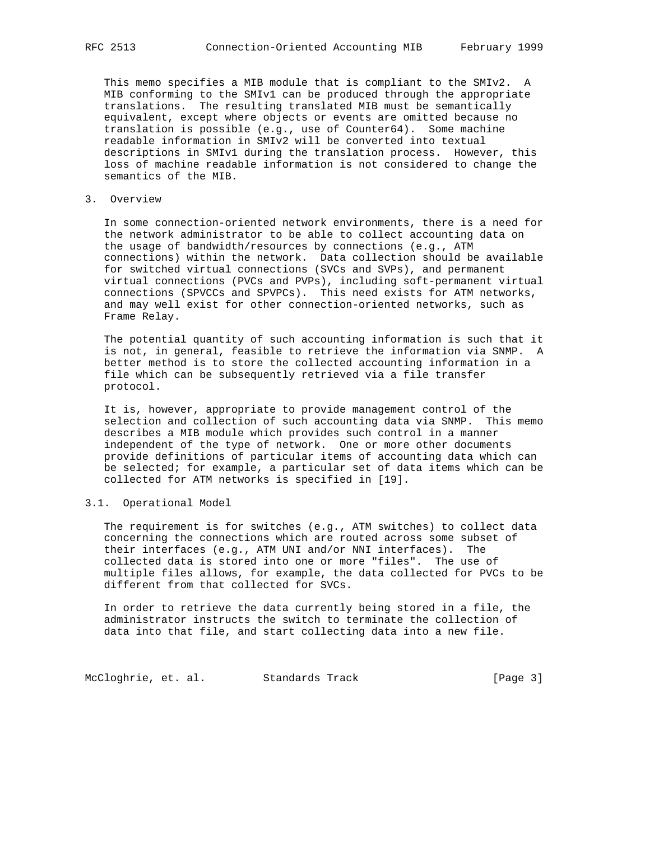This memo specifies a MIB module that is compliant to the SMIv2. A MIB conforming to the SMIv1 can be produced through the appropriate translations. The resulting translated MIB must be semantically equivalent, except where objects or events are omitted because no translation is possible (e.g., use of Counter64). Some machine readable information in SMIv2 will be converted into textual descriptions in SMIv1 during the translation process. However, this loss of machine readable information is not considered to change the semantics of the MIB.

3. Overview

 In some connection-oriented network environments, there is a need for the network administrator to be able to collect accounting data on the usage of bandwidth/resources by connections (e.g., ATM connections) within the network. Data collection should be available for switched virtual connections (SVCs and SVPs), and permanent virtual connections (PVCs and PVPs), including soft-permanent virtual connections (SPVCCs and SPVPCs). This need exists for ATM networks, and may well exist for other connection-oriented networks, such as Frame Relay.

 The potential quantity of such accounting information is such that it is not, in general, feasible to retrieve the information via SNMP. A better method is to store the collected accounting information in a file which can be subsequently retrieved via a file transfer protocol.

 It is, however, appropriate to provide management control of the selection and collection of such accounting data via SNMP. This memo describes a MIB module which provides such control in a manner independent of the type of network. One or more other documents provide definitions of particular items of accounting data which can be selected; for example, a particular set of data items which can be collected for ATM networks is specified in [19].

3.1. Operational Model

 The requirement is for switches (e.g., ATM switches) to collect data concerning the connections which are routed across some subset of their interfaces (e.g., ATM UNI and/or NNI interfaces). The collected data is stored into one or more "files". The use of multiple files allows, for example, the data collected for PVCs to be different from that collected for SVCs.

 In order to retrieve the data currently being stored in a file, the administrator instructs the switch to terminate the collection of data into that file, and start collecting data into a new file.

McCloghrie, et. al. Standards Track [Page 3]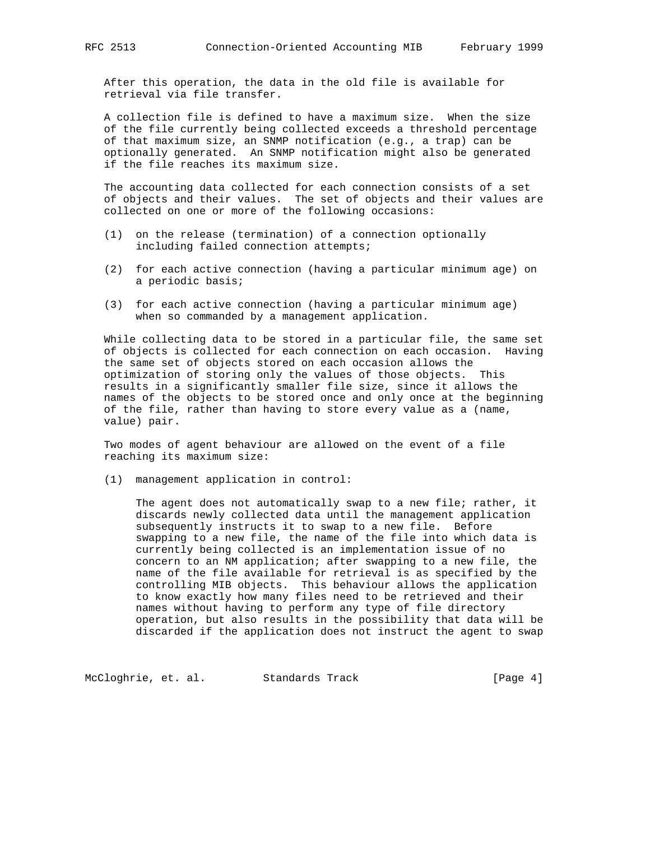After this operation, the data in the old file is available for retrieval via file transfer.

 A collection file is defined to have a maximum size. When the size of the file currently being collected exceeds a threshold percentage of that maximum size, an SNMP notification (e.g., a trap) can be optionally generated. An SNMP notification might also be generated if the file reaches its maximum size.

 The accounting data collected for each connection consists of a set of objects and their values. The set of objects and their values are collected on one or more of the following occasions:

- (1) on the release (termination) of a connection optionally including failed connection attempts;
- (2) for each active connection (having a particular minimum age) on a periodic basis;
- (3) for each active connection (having a particular minimum age) when so commanded by a management application.

 While collecting data to be stored in a particular file, the same set of objects is collected for each connection on each occasion. Having the same set of objects stored on each occasion allows the optimization of storing only the values of those objects. This results in a significantly smaller file size, since it allows the names of the objects to be stored once and only once at the beginning of the file, rather than having to store every value as a (name, value) pair.

 Two modes of agent behaviour are allowed on the event of a file reaching its maximum size:

(1) management application in control:

The agent does not automatically swap to a new file; rather, it discards newly collected data until the management application subsequently instructs it to swap to a new file. Before swapping to a new file, the name of the file into which data is currently being collected is an implementation issue of no concern to an NM application; after swapping to a new file, the name of the file available for retrieval is as specified by the controlling MIB objects. This behaviour allows the application to know exactly how many files need to be retrieved and their names without having to perform any type of file directory operation, but also results in the possibility that data will be discarded if the application does not instruct the agent to swap

McCloghrie, et. al. Standards Track [Page 4]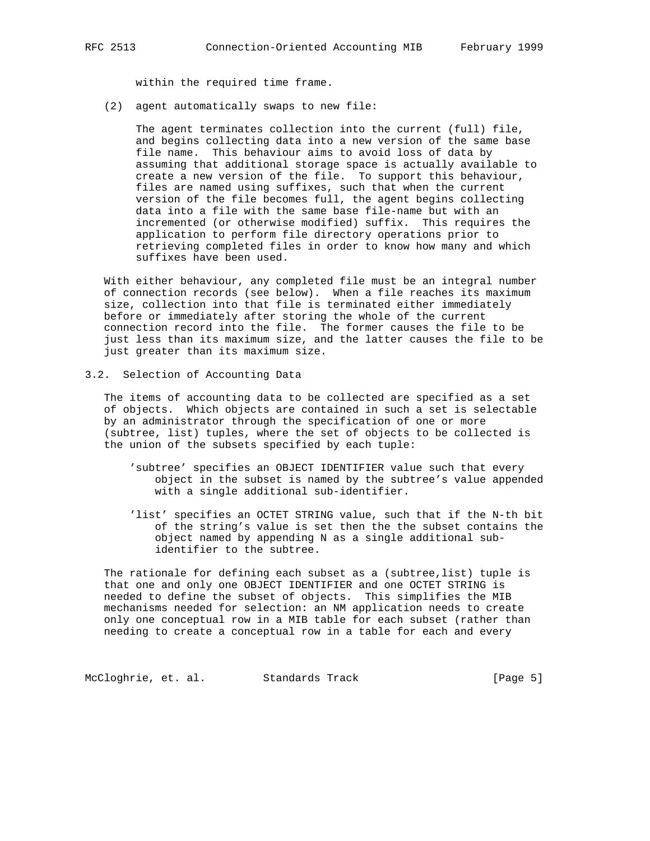within the required time frame.

(2) agent automatically swaps to new file:

 The agent terminates collection into the current (full) file, and begins collecting data into a new version of the same base file name. This behaviour aims to avoid loss of data by assuming that additional storage space is actually available to create a new version of the file. To support this behaviour, files are named using suffixes, such that when the current version of the file becomes full, the agent begins collecting data into a file with the same base file-name but with an incremented (or otherwise modified) suffix. This requires the application to perform file directory operations prior to retrieving completed files in order to know how many and which suffixes have been used.

 With either behaviour, any completed file must be an integral number of connection records (see below). When a file reaches its maximum size, collection into that file is terminated either immediately before or immediately after storing the whole of the current connection record into the file. The former causes the file to be just less than its maximum size, and the latter causes the file to be just greater than its maximum size.

3.2. Selection of Accounting Data

 The items of accounting data to be collected are specified as a set of objects. Which objects are contained in such a set is selectable by an administrator through the specification of one or more (subtree, list) tuples, where the set of objects to be collected is the union of the subsets specified by each tuple:

- 'subtree' specifies an OBJECT IDENTIFIER value such that every object in the subset is named by the subtree's value appended with a single additional sub-identifier.
- 'list' specifies an OCTET STRING value, such that if the N-th bit of the string's value is set then the the subset contains the object named by appending N as a single additional sub identifier to the subtree.

The rationale for defining each subset as a (subtree, list) tuple is that one and only one OBJECT IDENTIFIER and one OCTET STRING is needed to define the subset of objects. This simplifies the MIB mechanisms needed for selection: an NM application needs to create only one conceptual row in a MIB table for each subset (rather than needing to create a conceptual row in a table for each and every

McCloghrie, et. al. Standards Track [Page 5]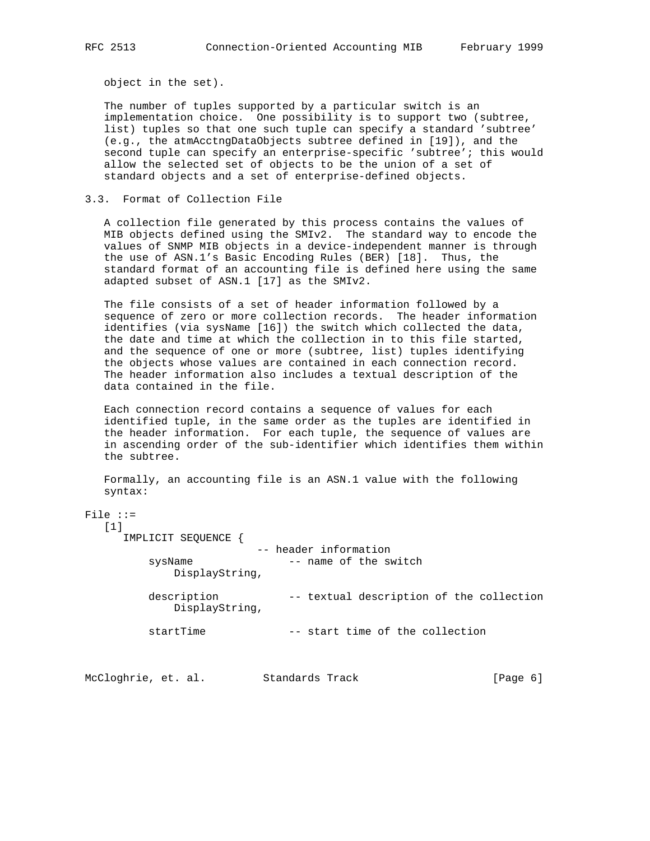object in the set).

 The number of tuples supported by a particular switch is an implementation choice. One possibility is to support two (subtree, list) tuples so that one such tuple can specify a standard 'subtree' (e.g., the atmAcctngDataObjects subtree defined in [19]), and the second tuple can specify an enterprise-specific 'subtree'; this would allow the selected set of objects to be the union of a set of standard objects and a set of enterprise-defined objects.

## 3.3. Format of Collection File

 A collection file generated by this process contains the values of MIB objects defined using the SMIv2. The standard way to encode the values of SNMP MIB objects in a device-independent manner is through the use of ASN.1's Basic Encoding Rules (BER) [18]. Thus, the standard format of an accounting file is defined here using the same adapted subset of ASN.1 [17] as the SMIv2.

 The file consists of a set of header information followed by a sequence of zero or more collection records. The header information identifies (via sysName [16]) the switch which collected the data, the date and time at which the collection in to this file started, and the sequence of one or more (subtree, list) tuples identifying the objects whose values are contained in each connection record. The header information also includes a textual description of the data contained in the file.

 Each connection record contains a sequence of values for each identified tuple, in the same order as the tuples are identified in the header information. For each tuple, the sequence of values are in ascending order of the sub-identifier which identifies them within the subtree.

 Formally, an accounting file is an ASN.1 value with the following syntax:

```
File ::=
```

| [1]                           |                                          |
|-------------------------------|------------------------------------------|
| IMPLICIT SEQUENCE             |                                          |
|                               | -- header information                    |
| sysName<br>DisplayString,     | -- name of the switch                    |
| description<br>DisplayString, | -- textual description of the collection |
| startTime                     | -- start time of the collection          |

McCloghrie, et. al. Standards Track [Page 6]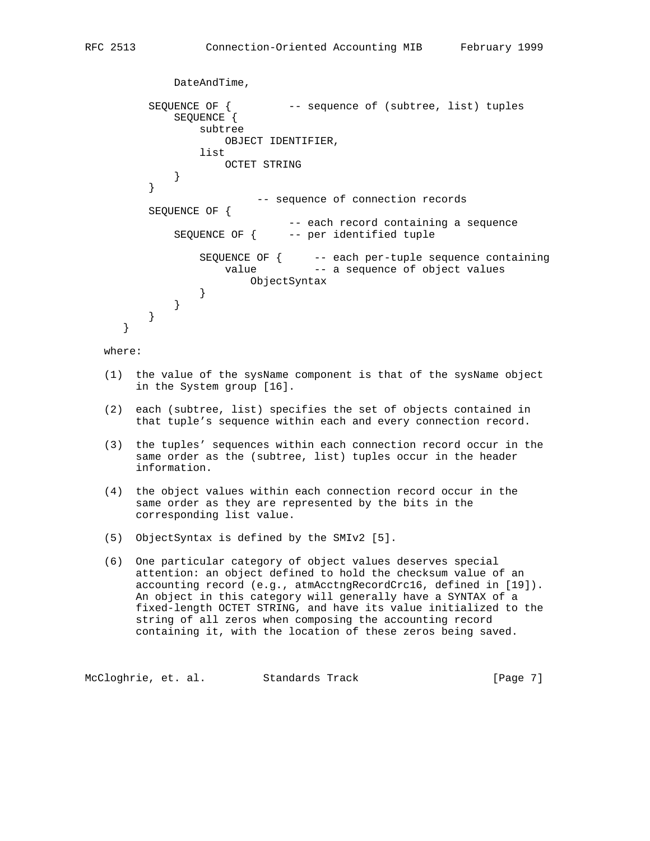```
 DateAndTime,
        SEQUENCE OF { -- sequence of (subtree, list) tuples
            SEQUENCE {
               subtree
                  OBJECT IDENTIFIER,
               list
                  OCTET STRING
 }
 }
                      -- sequence of connection records
        SEQUENCE OF {
                          -- each record containing a sequence
            SEQUENCE OF { -- per identified tuple
 SEQUENCE OF { -- each per-tuple sequence containing
value - a sequence of object values
                     ObjectSyntax
 }
           }
        }
     }
```
where:

- (1) the value of the sysName component is that of the sysName object in the System group [16].
- (2) each (subtree, list) specifies the set of objects contained in that tuple's sequence within each and every connection record.
- (3) the tuples' sequences within each connection record occur in the same order as the (subtree, list) tuples occur in the header information.
- (4) the object values within each connection record occur in the same order as they are represented by the bits in the corresponding list value.
- (5) ObjectSyntax is defined by the SMIv2 [5].
- (6) One particular category of object values deserves special attention: an object defined to hold the checksum value of an accounting record (e.g., atmAcctngRecordCrc16, defined in [19]). An object in this category will generally have a SYNTAX of a fixed-length OCTET STRING, and have its value initialized to the string of all zeros when composing the accounting record containing it, with the location of these zeros being saved.

McCloghrie, et. al. Standards Track [Page 7]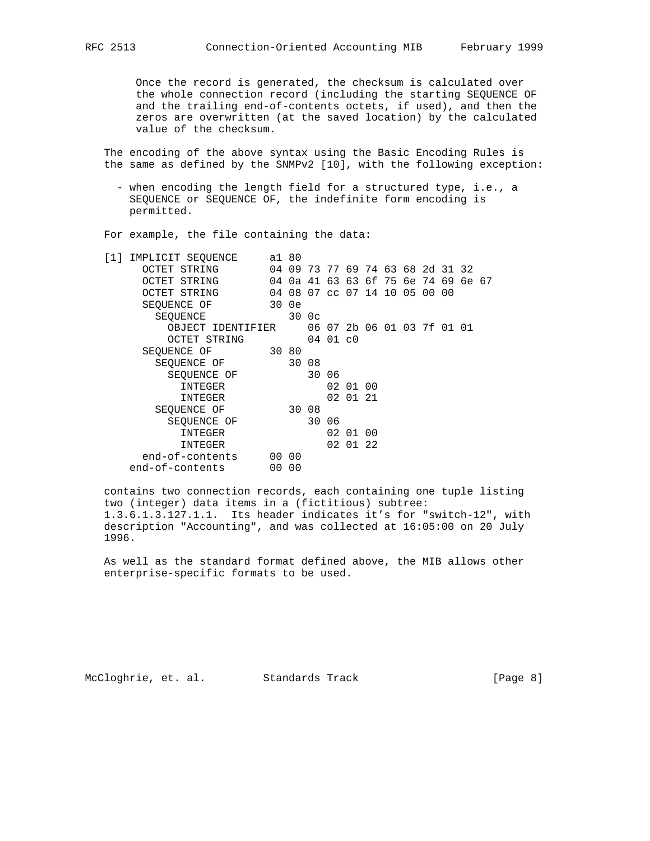Once the record is generated, the checksum is calculated over the whole connection record (including the starting SEQUENCE OF and the trailing end-of-contents octets, if used), and then the zeros are overwritten (at the saved location) by the calculated value of the checksum.

 The encoding of the above syntax using the Basic Encoding Rules is the same as defined by the SNMPv2 [10], with the following exception:

 - when encoding the length field for a structured type, i.e., a SEQUENCE or SEQUENCE OF, the indefinite form encoding is permitted.

For example, the file containing the data:

| IMPLICIT SEOUENCE<br>I 1 I | a1 80 |       |       |          |                                  |  |  |  |  |
|----------------------------|-------|-------|-------|----------|----------------------------------|--|--|--|--|
| OCTET STRING               |       |       |       |          | 04 09 73 77 69 74 63 68 2d 31 32 |  |  |  |  |
| OCTET STRING               | 04    |       |       |          | 0a 41 63 63 6f 75 6e 74 69 6e 67 |  |  |  |  |
| OCTET STRING               |       |       |       |          | 04 08 07 cc 07 14 10 05 00 00    |  |  |  |  |
| SEOUENCE OF                |       | 30 0e |       |          |                                  |  |  |  |  |
| SEOUENCE                   |       |       | 300c  |          |                                  |  |  |  |  |
| OBJECT IDENTIFIER          |       |       |       |          | 06 07 2b 06 01 03 7f 01 01       |  |  |  |  |
| OCTET STRING               |       |       |       | 04 01 c0 |                                  |  |  |  |  |
| SEQUENCE OF                | 30 80 |       |       |          |                                  |  |  |  |  |
| SEQUENCE OF                |       | 30 08 |       |          |                                  |  |  |  |  |
| SEOUENCE OF                |       |       |       | 30 06    |                                  |  |  |  |  |
| INTEGER                    |       |       |       |          | 02 01 00                         |  |  |  |  |
| INTEGER                    |       |       |       |          | 02 01 21                         |  |  |  |  |
| SEOUENCE OF                |       | 30 08 |       |          |                                  |  |  |  |  |
| SEOUENCE OF                |       |       | 30 06 |          |                                  |  |  |  |  |
| INTEGER                    |       |       |       |          | 02 01 00                         |  |  |  |  |
| INTEGER                    |       |       |       |          | 02 01 22                         |  |  |  |  |
| end-of-contents            |       | 00 00 |       |          |                                  |  |  |  |  |
| end-of-contents            | 00    | 00    |       |          |                                  |  |  |  |  |
|                            |       |       |       |          |                                  |  |  |  |  |

 contains two connection records, each containing one tuple listing two (integer) data items in a (fictitious) subtree: 1.3.6.1.3.127.1.1. Its header indicates it's for "switch-12", with description "Accounting", and was collected at 16:05:00 on 20 July 1996.

 As well as the standard format defined above, the MIB allows other enterprise-specific formats to be used.

McCloghrie, et. al. Standards Track [Page 8]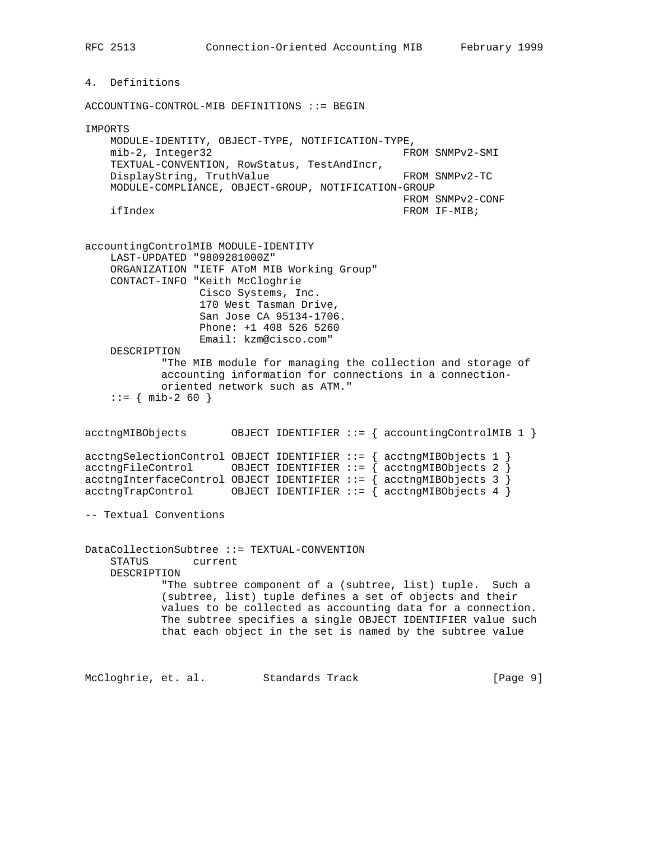4. Definitions

RFC 2513 Connection-Oriented Accounting MIB February 1999

ACCOUNTING-CONTROL-MIB DEFINITIONS ::= BEGIN IMPORTS MODULE-IDENTITY, OBJECT-TYPE, NOTIFICATION-TYPE, mib-2, Integer32 FROM SNMPv2-SMI TEXTUAL-CONVENTION, RowStatus, TestAndIncr, DisplayString, TruthValue FROM SNMPv2-TC MODULE-COMPLIANCE, OBJECT-GROUP, NOTIFICATION-GROUP FROM SNMPv2-CONF ifIndex FROM IF-MIB; accountingControlMIB MODULE-IDENTITY LAST-UPDATED "9809281000Z" ORGANIZATION "IETF AToM MIB Working Group" CONTACT-INFO "Keith McCloghrie Cisco Systems, Inc. 170 West Tasman Drive, San Jose CA 95134-1706. Phone: +1 408 526 5260 Email: kzm@cisco.com" DESCRIPTION "The MIB module for managing the collection and storage of accounting information for connections in a connection oriented network such as ATM."  $::=$  { mib-2 60 } acctngMIBObjects OBJECT IDENTIFIER ::= { accountingControlMIB 1 }  $\texttt{acceptingSelectionControl }$  OBJECT IDENTIFIER  $::= \{ \texttt{acceptingMIBObjects } 1 \}$ acctngFileControl OBJECT IDENTIFIER ::= { acctngMIBObjects 2 }  $\texttt{acceptingInterfaceControl } OBJECT IDENTIFIER ::= \{ \texttt{acceptingMIBObjects } 3 \}$  $\text{acctngTrapControl}$  OBJECT IDENTIFIER  $::=$  {  $\text{acctngMIBObjects}$  4 } -- Textual Conventions DataCollectionSubtree ::= TEXTUAL-CONVENTION STATUS current DESCRIPTION "The subtree component of a (subtree, list) tuple. Such a (subtree, list) tuple defines a set of objects and their values to be collected as accounting data for a connection. The subtree specifies a single OBJECT IDENTIFIER value such that each object in the set is named by the subtree value

McCloghrie, et. al. Standards Track [Page 9]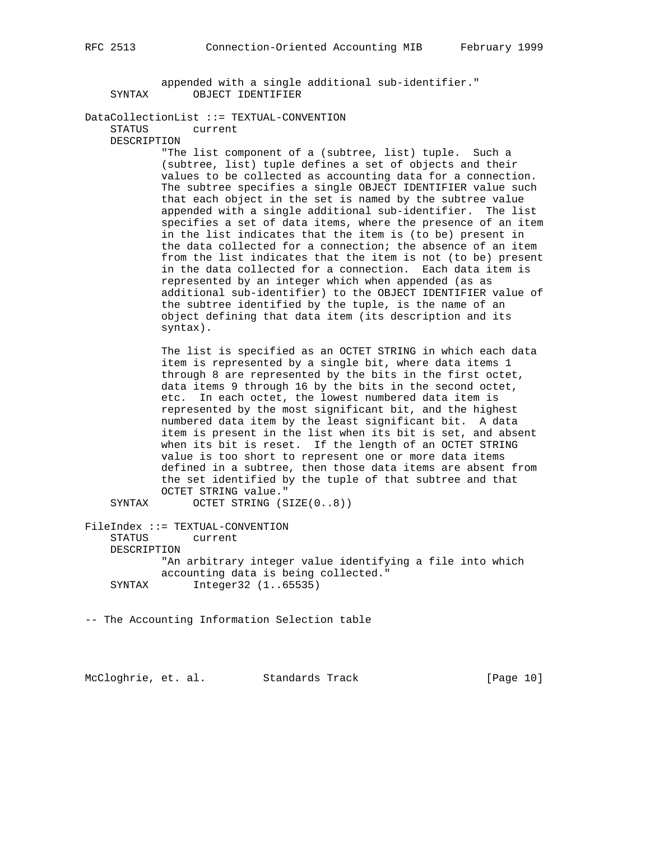appended with a single additional sub-identifier." SYNTAX OBJECT IDENTIFIER

DataCollectionList ::= TEXTUAL-CONVENTION

STATUS current

DESCRIPTION

 "The list component of a (subtree, list) tuple. Such a (subtree, list) tuple defines a set of objects and their values to be collected as accounting data for a connection. The subtree specifies a single OBJECT IDENTIFIER value such that each object in the set is named by the subtree value appended with a single additional sub-identifier. The list specifies a set of data items, where the presence of an item in the list indicates that the item is (to be) present in the data collected for a connection; the absence of an item from the list indicates that the item is not (to be) present in the data collected for a connection. Each data item is represented by an integer which when appended (as as additional sub-identifier) to the OBJECT IDENTIFIER value of the subtree identified by the tuple, is the name of an object defining that data item (its description and its syntax).

 The list is specified as an OCTET STRING in which each data item is represented by a single bit, where data items 1 through 8 are represented by the bits in the first octet, data items 9 through 16 by the bits in the second octet, etc. In each octet, the lowest numbered data item is represented by the most significant bit, and the highest numbered data item by the least significant bit. A data item is present in the list when its bit is set, and absent when its bit is reset. If the length of an OCTET STRING value is too short to represent one or more data items defined in a subtree, then those data items are absent from the set identified by the tuple of that subtree and that OCTET STRING value."

SYNTAX OCTET STRING (SIZE(0..8))

FileIndex ::= TEXTUAL-CONVENTION STATUS current DESCRIPTION "An arbitrary integer value identifying a file into which accounting data is being collected." SYNTAX Integer32 (1..65535)

-- The Accounting Information Selection table

McCloghrie, et. al. Standards Track [Page 10]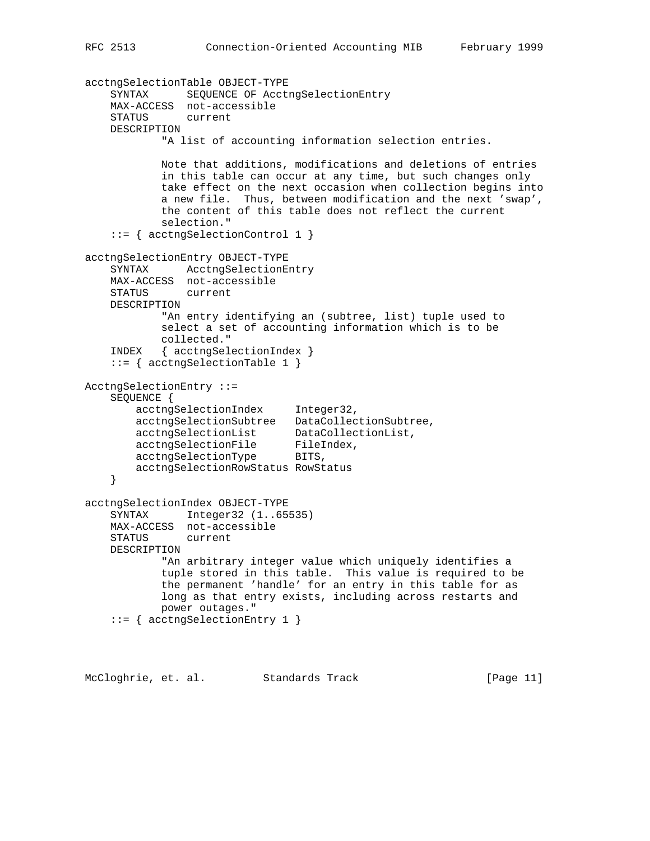```
acctngSelectionTable OBJECT-TYPE
    SYNTAX SEQUENCE OF AcctngSelectionEntry
    MAX-ACCESS not-accessible
    STATUS current
    DESCRIPTION
            "A list of accounting information selection entries.
            Note that additions, modifications and deletions of entries
            in this table can occur at any time, but such changes only
            take effect on the next occasion when collection begins into
            a new file. Thus, between modification and the next 'swap',
            the content of this table does not reflect the current
            selection."
     ::= { acctngSelectionControl 1 }
acctngSelectionEntry OBJECT-TYPE
    SYNTAX AcctngSelectionEntry
    MAX-ACCESS not-accessible
    STATUS current
    DESCRIPTION
            "An entry identifying an (subtree, list) tuple used to
            select a set of accounting information which is to be
            collected."
    INDEX { acctngSelectionIndex }
     ::= { acctngSelectionTable 1 }
AcctngSelectionEntry ::=
    SEQUENCE {
       acctngSelectionIndex Integer32,
        acctngSelectionSubtree DataCollectionSubtree,
 acctngSelectionList DataCollectionList,
acctngSelectionFile FileIndex,
acctngSelectionType BITS,
        acctngSelectionRowStatus RowStatus
     }
acctngSelectionIndex OBJECT-TYPE
    SYNTAX Integer32 (1..65535)
    MAX-ACCESS not-accessible
    STATUS current
    DESCRIPTION
            "An arbitrary integer value which uniquely identifies a
            tuple stored in this table. This value is required to be
            the permanent 'handle' for an entry in this table for as
            long as that entry exists, including across restarts and
            power outages."
     ::= { acctngSelectionEntry 1 }
```
McCloghrie, et. al. Standards Track [Page 11]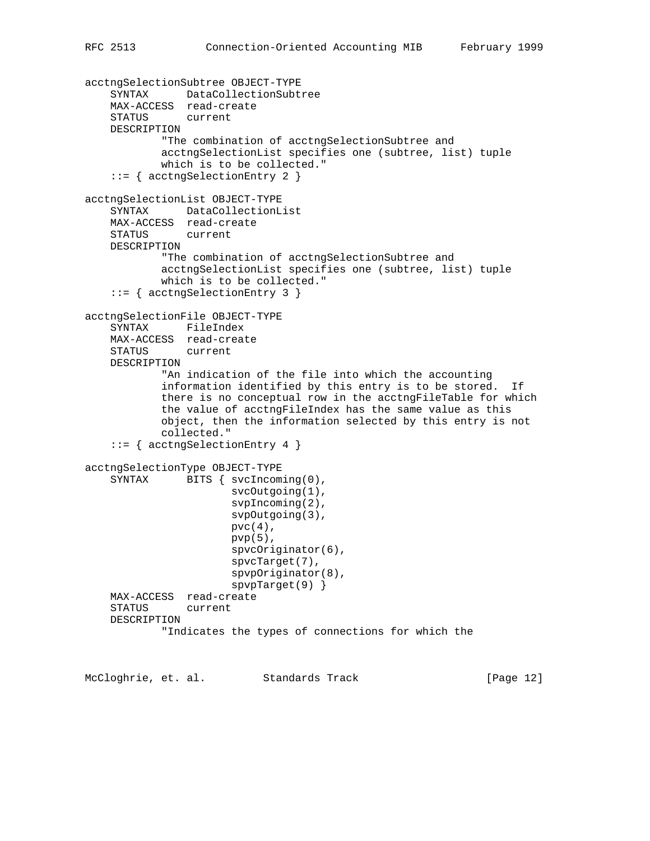```
acctngSelectionSubtree OBJECT-TYPE
     SYNTAX DataCollectionSubtree
    MAX-ACCESS read-create
     STATUS current
    DESCRIPTION
             "The combination of acctngSelectionSubtree and
            acctngSelectionList specifies one (subtree, list) tuple
            which is to be collected."
     ::= { acctngSelectionEntry 2 }
acctngSelectionList OBJECT-TYPE
    SYNTAX DataCollectionList
    MAX-ACCESS read-create
     STATUS current
    DESCRIPTION
            "The combination of acctngSelectionSubtree and
            acctngSelectionList specifies one (subtree, list) tuple
            which is to be collected."
     ::= { acctngSelectionEntry 3 }
acctngSelectionFile OBJECT-TYPE
     SYNTAX FileIndex
    MAX-ACCESS read-create
    STATUS current
    DESCRIPTION
             "An indication of the file into which the accounting
             information identified by this entry is to be stored. If
            there is no conceptual row in the acctngFileTable for which
            the value of acctngFileIndex has the same value as this
            object, then the information selected by this entry is not
            collected."
     ::= { acctngSelectionEntry 4 }
acctngSelectionType OBJECT-TYPE
    SYNTAX BITS { svcIncoming(0),
                       svcOutgoing(1),
                       svpIncoming(2),
                        svpOutgoing(3),
                       pvc(4),
                      pvp(5),
                       spvcOriginator(6),
                       spvcTarget(7),
                       spvpOriginator(8),
                       spvpTarget(9) }
    MAX-ACCESS read-create
     STATUS current
    DESCRIPTION
             "Indicates the types of connections for which the
```
McCloghrie, et. al. Standards Track [Page 12]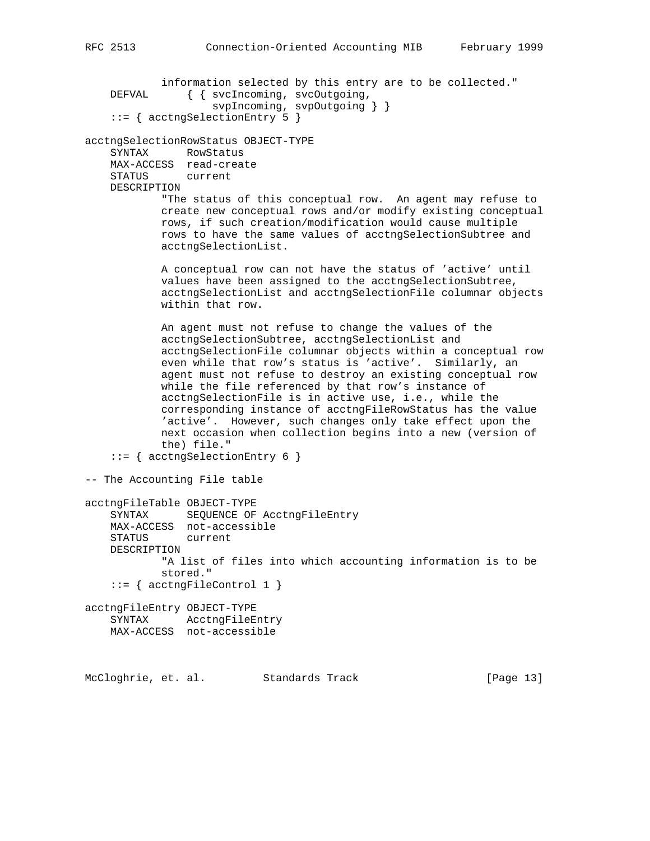information selected by this entry are to be collected." DEFVAL  $\{ \text{svcIncoming}, \text{svcOutgoing}, \text{...} \}$  svpIncoming, svpOutgoing } } ::= { acctngSelectionEntry 5 } acctngSelectionRowStatus OBJECT-TYPE SYNTAX RowStatus MAX-ACCESS read-create STATUS current DESCRIPTION "The status of this conceptual row. An agent may refuse to create new conceptual rows and/or modify existing conceptual rows, if such creation/modification would cause multiple rows to have the same values of acctngSelectionSubtree and acctngSelectionList. A conceptual row can not have the status of 'active' until values have been assigned to the acctngSelectionSubtree, acctngSelectionList and acctngSelectionFile columnar objects within that row. An agent must not refuse to change the values of the acctngSelectionSubtree, acctngSelectionList and acctngSelectionFile columnar objects within a conceptual row even while that row's status is 'active'. Similarly, an agent must not refuse to destroy an existing conceptual row while the file referenced by that row's instance of acctngSelectionFile is in active use, i.e., while the corresponding instance of acctngFileRowStatus has the value 'active'. However, such changes only take effect upon the next occasion when collection begins into a new (version of the) file." ::= { acctngSelectionEntry 6 } -- The Accounting File table acctngFileTable OBJECT-TYPE SYNTAX SEQUENCE OF AcctngFileEntry MAX-ACCESS not-accessible STATUS current DESCRIPTION "A list of files into which accounting information is to be stored."  $::=$  { acctngFileControl 1 } acctngFileEntry OBJECT-TYPE SYNTAX AcctngFileEntry MAX-ACCESS not-accessible McCloghrie, et. al. Standards Track [Page 13]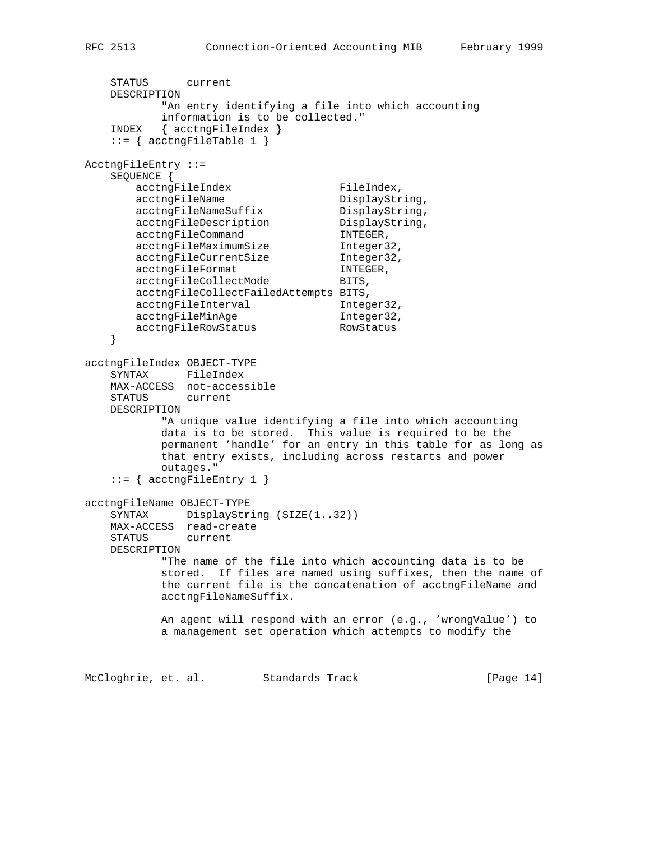```
 STATUS current
    DESCRIPTION
           "An entry identifying a file into which accounting
           information is to be collected."
    INDEX { acctngFileIndex }
   ::= { acctngFileTable 1 }
AcctngFileEntry ::=
   SEQUENCE {<br>acctngFileIndex<br>acctngFileName
acctngFileIndex FileIndex,
acctngFileName DisplayString,
 acctngFileNameSuffix DisplayString,
acctngFileDescription DisplayString,
acctngFileCommand INTEGER,
 acctngFileMaximumSize Integer32,
 acctngFileCurrentSize Integer32,
acctngFileFormat INTEGER,
      acctngFileCollectMode BITS,
       acctngFileCollectFailedAttempts BITS,
      acctngFileInterval Integer32,
acctngFileMinAge 1nteger32,
 acctngFileRowStatus RowStatus
    }
acctngFileIndex OBJECT-TYPE
    SYNTAX FileIndex
    MAX-ACCESS not-accessible
    STATUS current
    DESCRIPTION
           "A unique value identifying a file into which accounting
           data is to be stored. This value is required to be the
           permanent 'handle' for an entry in this table for as long as
           that entry exists, including across restarts and power
           outages."
   ::= { acctngFileEntry 1 }
acctngFileName OBJECT-TYPE
   SYNTAX DisplayString (SIZE(1..32))
    MAX-ACCESS read-create
    STATUS current
    DESCRIPTION
           "The name of the file into which accounting data is to be
           stored. If files are named using suffixes, then the name of
           the current file is the concatenation of acctngFileName and
           acctngFileNameSuffix.
           An agent will respond with an error (e.g., 'wrongValue') to
           a management set operation which attempts to modify the
McCloghrie, et. al. Standards Track [Page 14]
```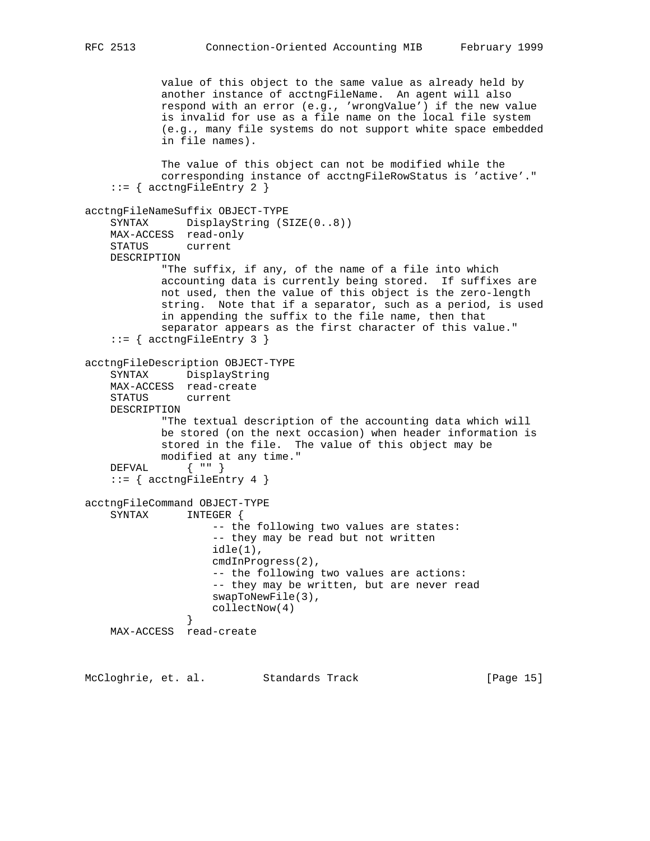value of this object to the same value as already held by another instance of acctngFileName. An agent will also respond with an error (e.g., 'wrongValue') if the new value is invalid for use as a file name on the local file system (e.g., many file systems do not support white space embedded in file names). The value of this object can not be modified while the corresponding instance of acctngFileRowStatus is 'active'."  $::=$  { acctngFileEntry 2 } acctngFileNameSuffix OBJECT-TYPE SYNTAX DisplayString (SIZE(0..8)) MAX-ACCESS read-only STATUS current DESCRIPTION "The suffix, if any, of the name of a file into which accounting data is currently being stored. If suffixes are not used, then the value of this object is the zero-length string. Note that if a separator, such as a period, is used in appending the suffix to the file name, then that separator appears as the first character of this value."  $::=$  { acctngFileEntry 3 } acctngFileDescription OBJECT-TYPE SYNTAX DisplayString MAX-ACCESS read-create STATUS current DESCRIPTION "The textual description of the accounting data which will be stored (on the next occasion) when header information is stored in the file. The value of this object may be modified at any time." DEFVAL { "" }  $::=$  { acctngFileEntry 4 } acctngFileCommand OBJECT-TYPE SYNTAX INTEGER { -- the following two values are states: -- they may be read but not written idle(1), cmdInProgress(2), -- the following two values are actions: -- they may be written, but are never read swapToNewFile(3), collectNow(4) } MAX-ACCESS read-create

McCloghrie, et. al. Standards Track [Page 15]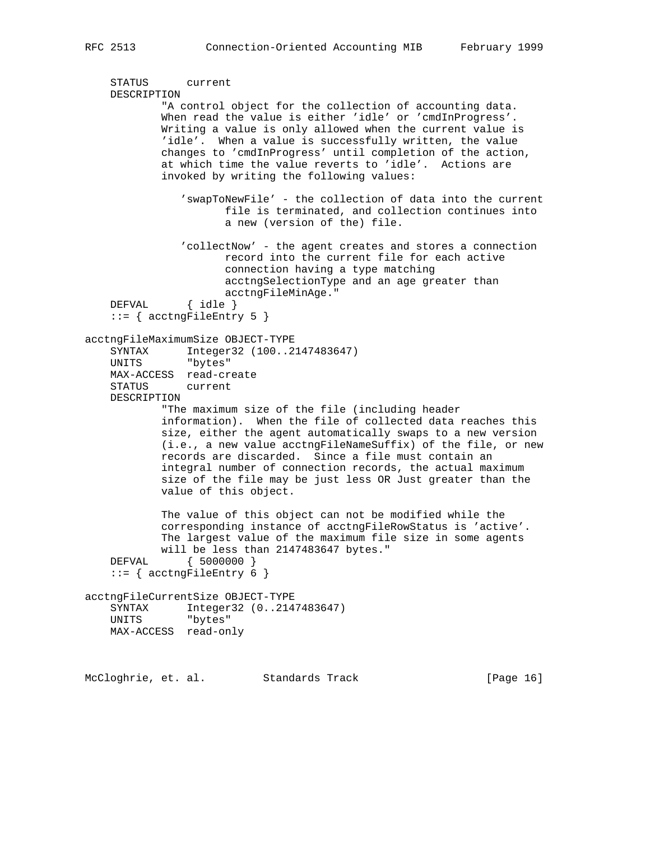```
 STATUS current
    DESCRIPTION
             "A control object for the collection of accounting data.
             When read the value is either 'idle' or 'cmdInProgress'.
             Writing a value is only allowed when the current value is
            'idle'. When a value is successfully written, the value
             changes to 'cmdInProgress' until completion of the action,
             at which time the value reverts to 'idle'. Actions are
             invoked by writing the following values:
                'swapToNewFile' - the collection of data into the current
                       file is terminated, and collection continues into
                       a new (version of the) file.
                'collectNow' - the agent creates and stores a connection
                       record into the current file for each active
                       connection having a type matching
                       acctngSelectionType and an age greater than
                acctngFileMinAge."<br>{ idle }
   DEFVAL::= { acctngFileEntry 5 }
acctngFileMaximumSize OBJECT-TYPE
   SYNTAX Integer32 (100..2147483647)<br>UNITS "bytes"
              "bytes"
    MAX-ACCESS read-create
    STATUS current
    DESCRIPTION
             "The maximum size of the file (including header
             information). When the file of collected data reaches this
            size, either the agent automatically swaps to a new version
            (i.e., a new value acctngFileNameSuffix) of the file, or new
            records are discarded. Since a file must contain an
            integral number of connection records, the actual maximum
            size of the file may be just less OR Just greater than the
            value of this object.
             The value of this object can not be modified while the
             corresponding instance of acctngFileRowStatus is 'active'.
             The largest value of the maximum file size in some agents
            will be less than 2147483647 bytes."
    DEFVAL { 5000000 }
    ::= { acctngFileEntry 6 }
acctngFileCurrentSize OBJECT-TYPE
    SYNTAX Integer32 (0..2147483647)
    UNITS "bytes"
    MAX-ACCESS read-only
```
McCloghrie, et. al. Standards Track [Page 16]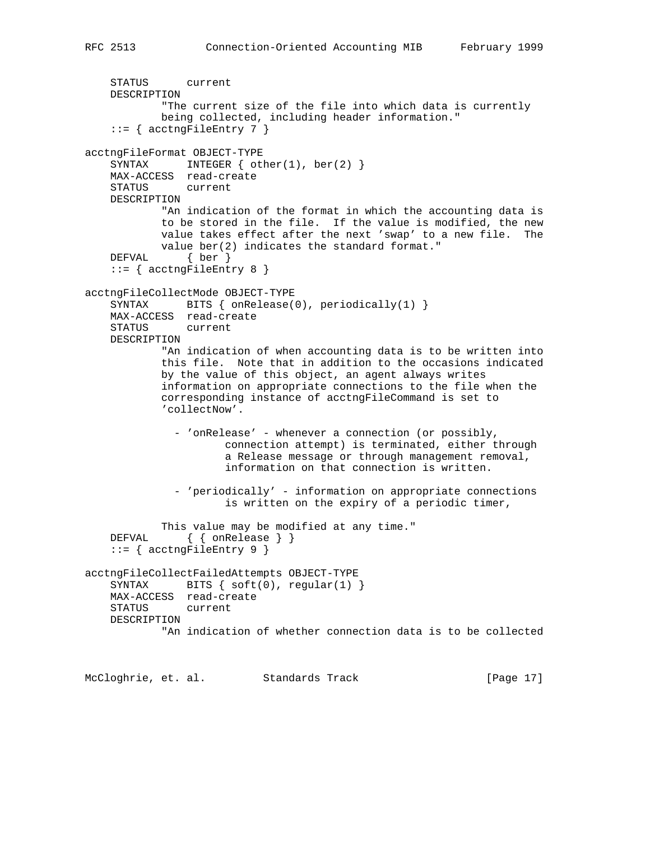```
 STATUS current
    DESCRIPTION
            "The current size of the file into which data is currently
            being collected, including header information."
    ::= { acctngFileEntry 7 }
acctngFileFormat OBJECT-TYPE
    SYNTAX INTEGER \{ other(1), ber(2) \} MAX-ACCESS read-create
    STATUS current
    DESCRIPTION
            "An indication of the format in which the accounting data is
            to be stored in the file. If the value is modified, the new
            value takes effect after the next 'swap' to a new file. The
            value ber(2) indicates the standard format."
    DEFVAL { ber }
    ::= { acctngFileEntry 8 }
acctngFileCollectMode OBJECT-TYPE
    SYNTAX BITS { onRelease(0), periodically(1) }
    MAX-ACCESS read-create
    STATUS current
    DESCRIPTION
            "An indication of when accounting data is to be written into
            this file. Note that in addition to the occasions indicated
            by the value of this object, an agent always writes
            information on appropriate connections to the file when the
            corresponding instance of acctngFileCommand is set to
             'collectNow'.
              - 'onRelease' - whenever a connection (or possibly,
                      connection attempt) is terminated, either through
                      a Release message or through management removal,
                      information on that connection is written.
              - 'periodically' - information on appropriate connections
                      is written on the expiry of a periodic timer,
            This value may be modified at any time."
     DEFVAL { { onRelease } }
     ::= { acctngFileEntry 9 }
acctngFileCollectFailedAttempts OBJECT-TYPE
   SYNTAX BITS \{soft(0), regular(1) \} MAX-ACCESS read-create
    STATUS current
    DESCRIPTION
             "An indication of whether connection data is to be collected
```
McCloghrie, et. al. Standards Track [Page 17]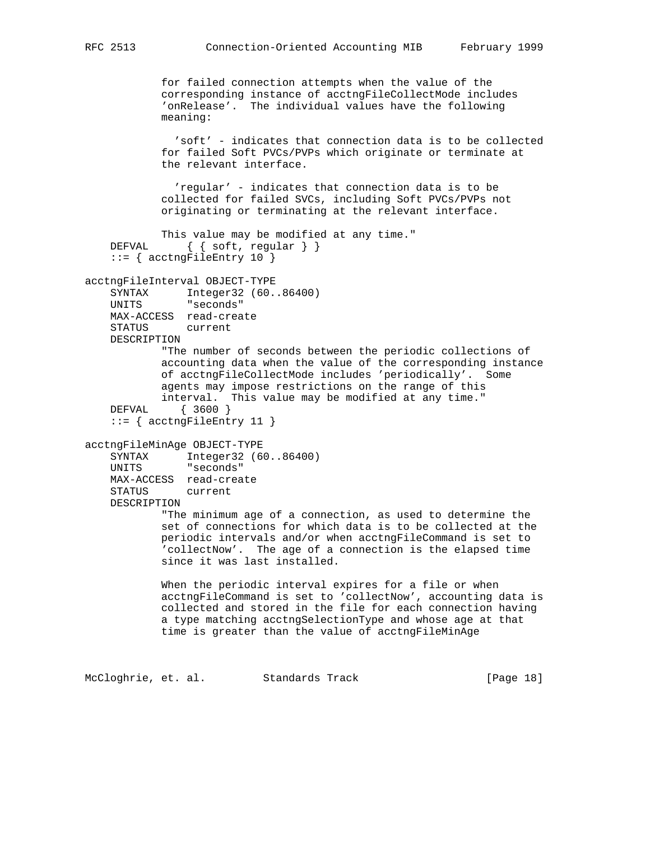for failed connection attempts when the value of the corresponding instance of acctngFileCollectMode includes 'onRelease'. The individual values have the following meaning: 'soft' - indicates that connection data is to be collected for failed Soft PVCs/PVPs which originate or terminate at the relevant interface. 'regular' - indicates that connection data is to be collected for failed SVCs, including Soft PVCs/PVPs not originating or terminating at the relevant interface. This value may be modified at any time." DEFVAL { { soft, regular } } ::= { acctngFileEntry 10 } acctngFileInterval OBJECT-TYPE SYNTAX Integer32 (60..86400) UNITS "seconds" MAX-ACCESS read-create STATUS current DESCRIPTION "The number of seconds between the periodic collections of accounting data when the value of the corresponding instance of acctngFileCollectMode includes 'periodically'. Some agents may impose restrictions on the range of this interval. This value may be modified at any time." DEFVAL { 3600 } ::= { acctngFileEntry 11 } acctngFileMinAge OBJECT-TYPE SYNTAX Integer32 (60..86400) UNITS "seconds" MAX-ACCESS read-create STATUS current DESCRIPTION "The minimum age of a connection, as used to determine the set of connections for which data is to be collected at the periodic intervals and/or when acctngFileCommand is set to 'collectNow'. The age of a connection is the elapsed time since it was last installed. When the periodic interval expires for a file or when acctngFileCommand is set to 'collectNow', accounting data is collected and stored in the file for each connection having a type matching acctngSelectionType and whose age at that time is greater than the value of acctngFileMinAge

McCloghrie, et. al. Standards Track [Page 18]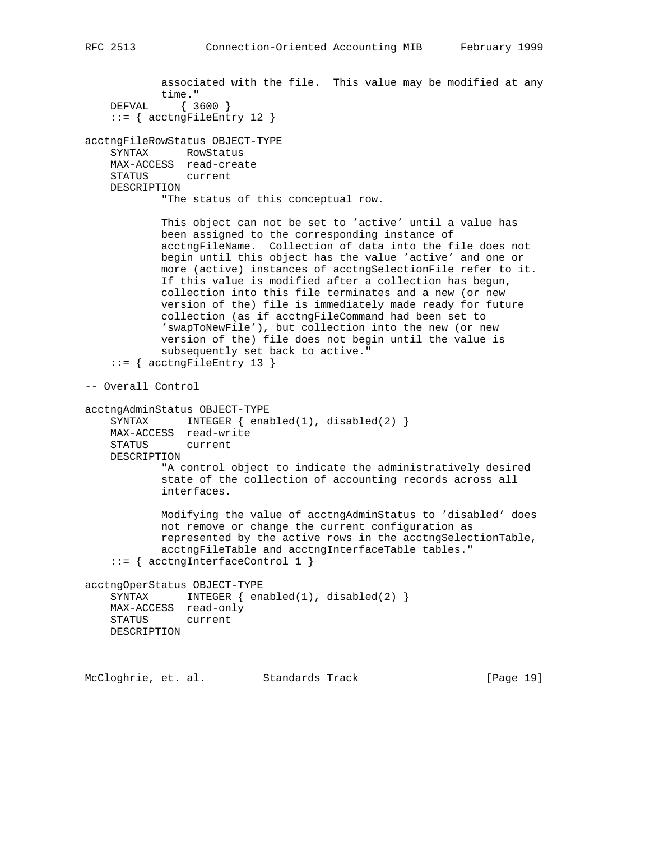associated with the file. This value may be modified at any time." DEFVAL { 3600 }  $::=$  { acctngFileEntry 12 } acctngFileRowStatus OBJECT-TYPE SYNTAX RowStatus MAX-ACCESS read-create STATUS current DESCRIPTION "The status of this conceptual row. This object can not be set to 'active' until a value has been assigned to the corresponding instance of acctngFileName. Collection of data into the file does not begin until this object has the value 'active' and one or more (active) instances of acctngSelectionFile refer to it. If this value is modified after a collection has begun, collection into this file terminates and a new (or new version of the) file is immediately made ready for future collection (as if acctngFileCommand had been set to 'swapToNewFile'), but collection into the new (or new version of the) file does not begin until the value is subsequently set back to active." ::= { acctngFileEntry 13 } -- Overall Control acctngAdminStatus OBJECT-TYPE SYNTAX INTEGER { enabled(1), disabled(2) } MAX-ACCESS read-write STATUS current DESCRIPTION "A control object to indicate the administratively desired state of the collection of accounting records across all interfaces. Modifying the value of acctngAdminStatus to 'disabled' does not remove or change the current configuration as represented by the active rows in the acctngSelectionTable, acctngFileTable and acctngInterfaceTable tables." ::= { acctngInterfaceControl 1 } acctngOperStatus OBJECT-TYPE SYNTAX INTEGER  $\{ \text{enabeled}(1), \text{disabeled}(2) \}$  MAX-ACCESS read-only STATUS current DESCRIPTION

McCloghrie, et. al. Standards Track [Page 19]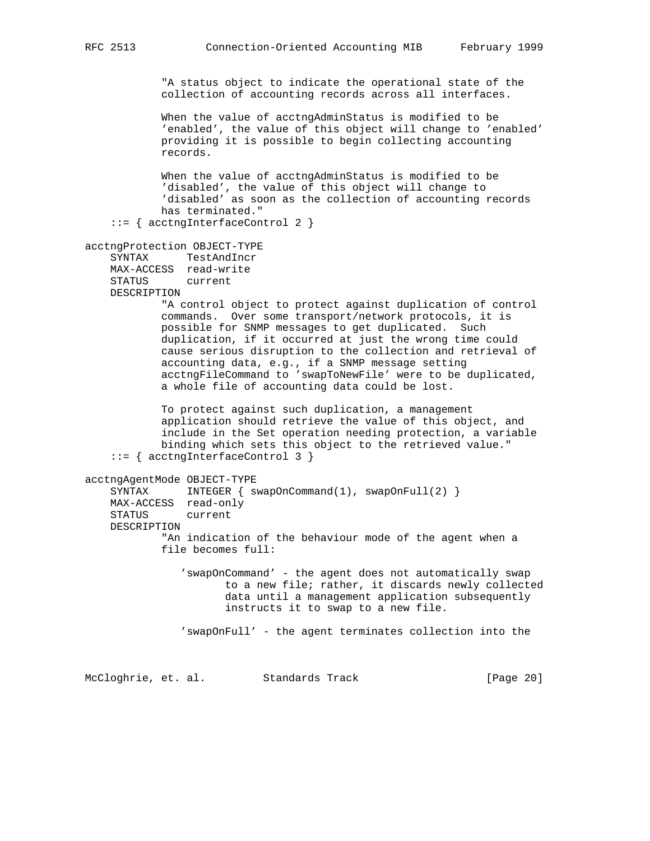"A status object to indicate the operational state of the collection of accounting records across all interfaces.

 When the value of acctngAdminStatus is modified to be 'enabled', the value of this object will change to 'enabled' providing it is possible to begin collecting accounting records.

 When the value of acctngAdminStatus is modified to be 'disabled', the value of this object will change to 'disabled' as soon as the collection of accounting records has terminated."

::= { acctngInterfaceControl 2 }

```
acctngProtection OBJECT-TYPE
```
 SYNTAX TestAndIncr MAX-ACCESS read-write STATUS current DESCRIPTION

> "A control object to protect against duplication of control commands. Over some transport/network protocols, it is possible for SNMP messages to get duplicated. Such duplication, if it occurred at just the wrong time could cause serious disruption to the collection and retrieval of accounting data, e.g., if a SNMP message setting acctngFileCommand to 'swapToNewFile' were to be duplicated, a whole file of accounting data could be lost.

 To protect against such duplication, a management application should retrieve the value of this object, and include in the Set operation needing protection, a variable binding which sets this object to the retrieved value." ::= { acctngInterfaceControl 3 }

acctngAgentMode OBJECT-TYPE SYNTAX INTEGER { swapOnCommand(1), swapOnFull(2) } MAX-ACCESS read-only STATUS current DESCRIPTION "An indication of the behaviour mode of the agent when a file becomes full: 'swapOnCommand' - the agent does not automatically swap to a new file; rather, it discards newly collected data until a management application subsequently instructs it to swap to a new file. 'swapOnFull' - the agent terminates collection into the

McCloghrie, et. al. Standards Track [Page 20]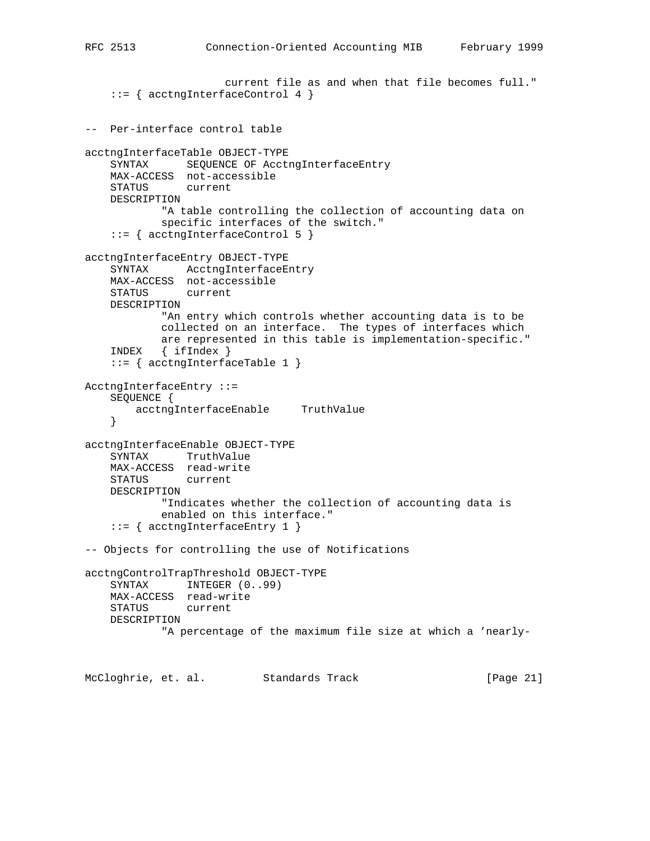```
 current file as and when that file becomes full."
     ::= { acctngInterfaceControl 4 }
-- Per-interface control table
acctngInterfaceTable OBJECT-TYPE
    SYNTAX SEQUENCE OF AcctngInterfaceEntry
    MAX-ACCESS not-accessible
    STATUS current
    DESCRIPTION
            "A table controlling the collection of accounting data on
            specific interfaces of the switch."
     ::= { acctngInterfaceControl 5 }
acctngInterfaceEntry OBJECT-TYPE
    SYNTAX AcctngInterfaceEntry
    MAX-ACCESS not-accessible
   STATUS
    DESCRIPTION
             "An entry which controls whether accounting data is to be
            collected on an interface. The types of interfaces which
            are represented in this table is implementation-specific."
     INDEX { ifIndex }
     ::= { acctngInterfaceTable 1 }
AcctngInterfaceEntry ::=
     SEQUENCE {
        acctngInterfaceEnable TruthValue
     }
acctngInterfaceEnable OBJECT-TYPE
     SYNTAX TruthValue
    MAX-ACCESS read-write
    STATUS current
    DESCRIPTION
            "Indicates whether the collection of accounting data is
            enabled on this interface."
    ::= { acctngInterfaceEntry 1 }
-- Objects for controlling the use of Notifications
acctngControlTrapThreshold OBJECT-TYPE
    SYNTAX INTEGER (0..99)
    MAX-ACCESS read-write
    STATUS current
    DESCRIPTION
             "A percentage of the maximum file size at which a 'nearly-
```
McCloghrie, et. al. Standards Track [Page 21]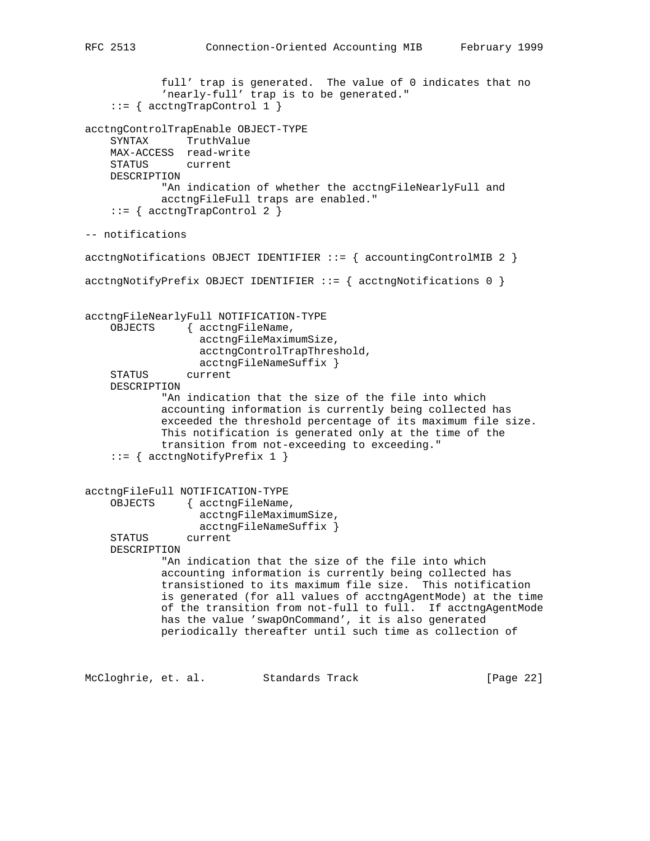full' trap is generated. The value of 0 indicates that no 'nearly-full' trap is to be generated."  $::=$  { acctngTrapControl 1 } acctngControlTrapEnable OBJECT-TYPE SYNTAX TruthValue MAX-ACCESS read-write STATUS current DESCRIPTION "An indication of whether the acctngFileNearlyFull and acctngFileFull traps are enabled."  $::=$  { acctngTrapControl 2 } -- notifications acctngNotifications OBJECT IDENTIFIER  $::=$  { accountingControlMIB 2 }  $accordingNotifyPrefix OBJECT IDENTIFIER :: = { accordingNotifications 0 }$ acctngFileNearlyFull NOTIFICATION-TYPE OBJECTS { acctngFileName, acctngFileMaximumSize, acctngControlTrapThreshold, acctngFileNameSuffix } STATUS current DESCRIPTION "An indication that the size of the file into which accounting information is currently being collected has exceeded the threshold percentage of its maximum file size. This notification is generated only at the time of the transition from not-exceeding to exceeding."  $::=$  { acctngNotifyPrefix 1 } acctngFileFull NOTIFICATION-TYPE OBJECTS { acctngFileName, acctngFileMaximumSize, acctngFileNameSuffix } STATUS current DESCRIPTION "An indication that the size of the file into which accounting information is currently being collected has transistioned to its maximum file size. This notification is generated (for all values of acctngAgentMode) at the time of the transition from not-full to full. If acctngAgentMode has the value 'swapOnCommand', it is also generated periodically thereafter until such time as collection of

McCloghrie, et. al. Standards Track [Page 22]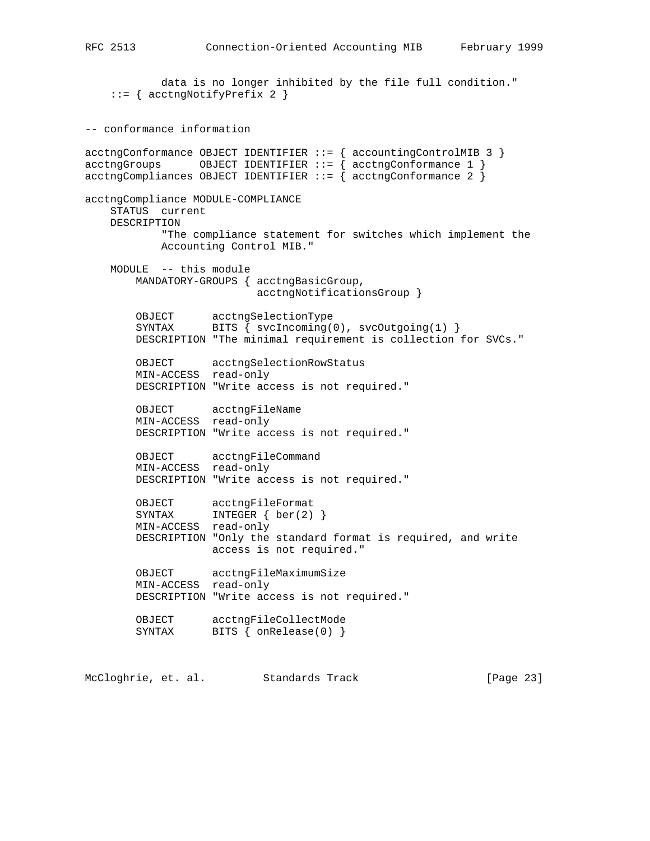data is no longer inhibited by the file full condition." ::= { acctngNotifyPrefix 2 }

-- conformance information  $\texttt{acceptngConformance } \texttt{OBJECT } \texttt{IDENTIFIER} :: \{ \texttt{accountingControlMIB } 3 \}$ acctngGroups OBJECT IDENTIFIER ::= { acctngConformance 1 }  $\texttt{acceptingComplinness }$  OBJECT IDENTIFIER  $::=$  {  $\texttt{acceptingConformance } 2$  } acctngCompliance MODULE-COMPLIANCE STATUS current DESCRIPTION "The compliance statement for switches which implement the Accounting Control MIB." MODULE -- this module MANDATORY-GROUPS { acctngBasicGroup, acctngNotificationsGroup } OBJECT acctngSelectionType SYNTAX BITS { svcIncoming(0), svcOutgoing(1) } DESCRIPTION "The minimal requirement is collection for SVCs." OBJECT acctngSelectionRowStatus MIN-ACCESS read-only DESCRIPTION "Write access is not required." OBJECT acctngFileName MIN-ACCESS read-only DESCRIPTION "Write access is not required." OBJECT acctngFileCommand MIN-ACCESS read-only DESCRIPTION "Write access is not required." OBJECT acctngFileFormat SYNTAX INTEGER { ber(2) } MIN-ACCESS read-only DESCRIPTION "Only the standard format is required, and write access is not required." OBJECT acctngFileMaximumSize MIN-ACCESS read-only DESCRIPTION "Write access is not required." OBJECT acctngFileCollectMode SYNTAX BITS { onRelease(0) }

McCloghrie, et. al. Standards Track [Page 23]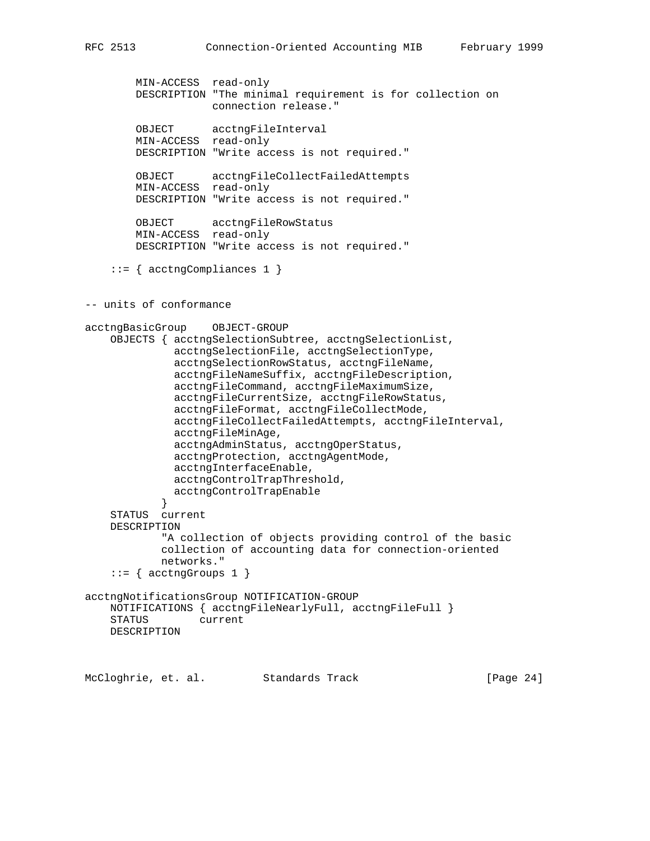```
 MIN-ACCESS read-only
        DESCRIPTION "The minimal requirement is for collection on
                    connection release."
 OBJECT acctngFileInterval
 MIN-ACCESS read-only
        DESCRIPTION "Write access is not required."
        OBJECT acctngFileCollectFailedAttempts
        MIN-ACCESS read-only
        DESCRIPTION "Write access is not required."
        OBJECT acctngFileRowStatus
        MIN-ACCESS read-only
        DESCRIPTION "Write access is not required."
     ::= { acctngCompliances 1 }
-- units of conformance
acctngBasicGroup OBJECT-GROUP
     OBJECTS { acctngSelectionSubtree, acctngSelectionList,
              acctngSelectionFile, acctngSelectionType,
              acctngSelectionRowStatus, acctngFileName,
              acctngFileNameSuffix, acctngFileDescription,
              acctngFileCommand, acctngFileMaximumSize,
              acctngFileCurrentSize, acctngFileRowStatus,
              acctngFileFormat, acctngFileCollectMode,
              acctngFileCollectFailedAttempts, acctngFileInterval,
              acctngFileMinAge,
              acctngAdminStatus, acctngOperStatus,
              acctngProtection, acctngAgentMode,
              acctngInterfaceEnable,
              acctngControlTrapThreshold,
           acctngControlTrapEnable<br>}
 }
     STATUS current
    DESCRIPTION
             "A collection of objects providing control of the basic
            collection of accounting data for connection-oriented
            networks."
    ::= { acctngGroups 1 }
acctngNotificationsGroup NOTIFICATION-GROUP
    NOTIFICATIONS { acctngFileNearlyFull, acctngFileFull }
    STATUS current
    DESCRIPTION
```
McCloghrie, et. al. Standards Track [Page 24]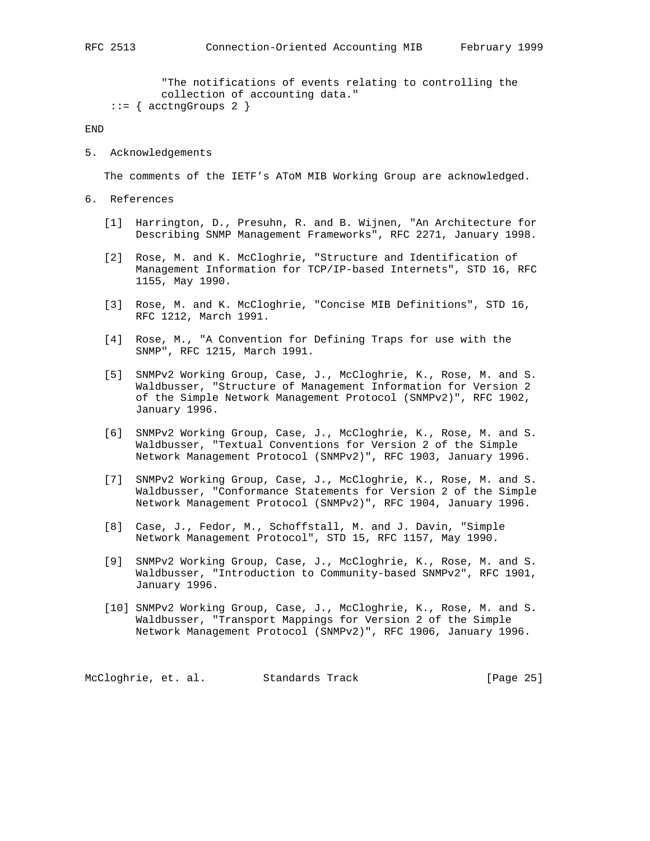"The notifications of events relating to controlling the collection of accounting data."  $::=$  { acctngGroups 2 }

END

5. Acknowledgements

The comments of the IETF's AToM MIB Working Group are acknowledged.

- 6. References
	- [1] Harrington, D., Presuhn, R. and B. Wijnen, "An Architecture for Describing SNMP Management Frameworks", RFC 2271, January 1998.
	- [2] Rose, M. and K. McCloghrie, "Structure and Identification of Management Information for TCP/IP-based Internets", STD 16, RFC 1155, May 1990.
	- [3] Rose, M. and K. McCloghrie, "Concise MIB Definitions", STD 16, RFC 1212, March 1991.
	- [4] Rose, M., "A Convention for Defining Traps for use with the SNMP", RFC 1215, March 1991.
	- [5] SNMPv2 Working Group, Case, J., McCloghrie, K., Rose, M. and S. Waldbusser, "Structure of Management Information for Version 2 of the Simple Network Management Protocol (SNMPv2)", RFC 1902, January 1996.
	- [6] SNMPv2 Working Group, Case, J., McCloghrie, K., Rose, M. and S. Waldbusser, "Textual Conventions for Version 2 of the Simple Network Management Protocol (SNMPv2)", RFC 1903, January 1996.
	- [7] SNMPv2 Working Group, Case, J., McCloghrie, K., Rose, M. and S. Waldbusser, "Conformance Statements for Version 2 of the Simple Network Management Protocol (SNMPv2)", RFC 1904, January 1996.
	- [8] Case, J., Fedor, M., Schoffstall, M. and J. Davin, "Simple Network Management Protocol", STD 15, RFC 1157, May 1990.
	- [9] SNMPv2 Working Group, Case, J., McCloghrie, K., Rose, M. and S. Waldbusser, "Introduction to Community-based SNMPv2", RFC 1901, January 1996.
	- [10] SNMPv2 Working Group, Case, J., McCloghrie, K., Rose, M. and S. Waldbusser, "Transport Mappings for Version 2 of the Simple Network Management Protocol (SNMPv2)", RFC 1906, January 1996.

McCloghrie, et. al. Standards Track [Page 25]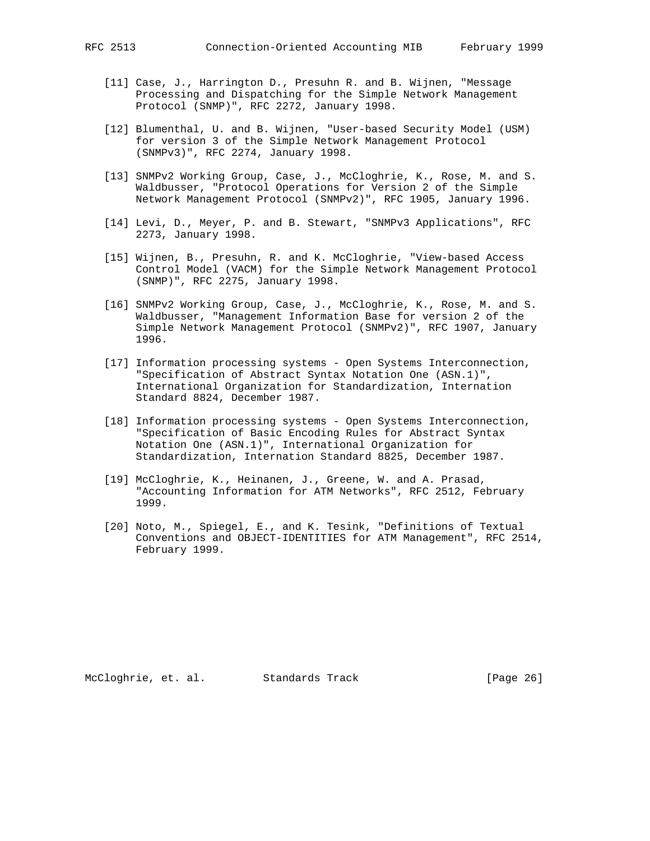- [11] Case, J., Harrington D., Presuhn R. and B. Wijnen, "Message Processing and Dispatching for the Simple Network Management Protocol (SNMP)", RFC 2272, January 1998.
- [12] Blumenthal, U. and B. Wijnen, "User-based Security Model (USM) for version 3 of the Simple Network Management Protocol (SNMPv3)", RFC 2274, January 1998.
- [13] SNMPv2 Working Group, Case, J., McCloghrie, K., Rose, M. and S. Waldbusser, "Protocol Operations for Version 2 of the Simple Network Management Protocol (SNMPv2)", RFC 1905, January 1996.
- [14] Levi, D., Meyer, P. and B. Stewart, "SNMPv3 Applications", RFC 2273, January 1998.
- [15] Wijnen, B., Presuhn, R. and K. McCloghrie, "View-based Access Control Model (VACM) for the Simple Network Management Protocol (SNMP)", RFC 2275, January 1998.
- [16] SNMPv2 Working Group, Case, J., McCloghrie, K., Rose, M. and S. Waldbusser, "Management Information Base for version 2 of the Simple Network Management Protocol (SNMPv2)", RFC 1907, January 1996.
- [17] Information processing systems Open Systems Interconnection, "Specification of Abstract Syntax Notation One (ASN.1)", International Organization for Standardization, Internation Standard 8824, December 1987.
- [18] Information processing systems Open Systems Interconnection, "Specification of Basic Encoding Rules for Abstract Syntax Notation One (ASN.1)", International Organization for Standardization, Internation Standard 8825, December 1987.
- [19] McCloghrie, K., Heinanen, J., Greene, W. and A. Prasad, "Accounting Information for ATM Networks", RFC 2512, February 1999.
- [20] Noto, M., Spiegel, E., and K. Tesink, "Definitions of Textual Conventions and OBJECT-IDENTITIES for ATM Management", RFC 2514, February 1999.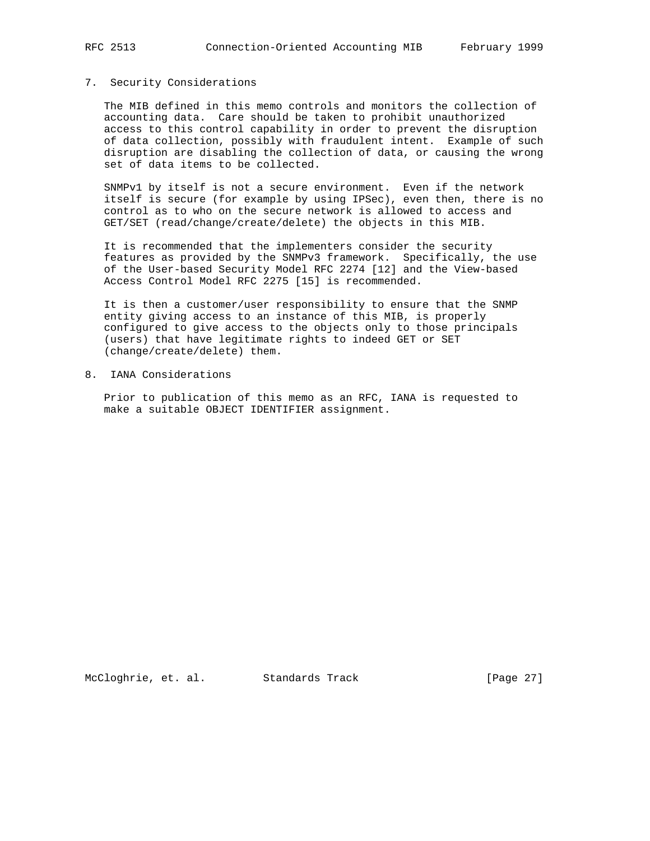## 7. Security Considerations

 The MIB defined in this memo controls and monitors the collection of accounting data. Care should be taken to prohibit unauthorized access to this control capability in order to prevent the disruption of data collection, possibly with fraudulent intent. Example of such disruption are disabling the collection of data, or causing the wrong set of data items to be collected.

 SNMPv1 by itself is not a secure environment. Even if the network itself is secure (for example by using IPSec), even then, there is no control as to who on the secure network is allowed to access and GET/SET (read/change/create/delete) the objects in this MIB.

 It is recommended that the implementers consider the security features as provided by the SNMPv3 framework. Specifically, the use of the User-based Security Model RFC 2274 [12] and the View-based Access Control Model RFC 2275 [15] is recommended.

 It is then a customer/user responsibility to ensure that the SNMP entity giving access to an instance of this MIB, is properly configured to give access to the objects only to those principals (users) that have legitimate rights to indeed GET or SET (change/create/delete) them.

8. IANA Considerations

 Prior to publication of this memo as an RFC, IANA is requested to make a suitable OBJECT IDENTIFIER assignment.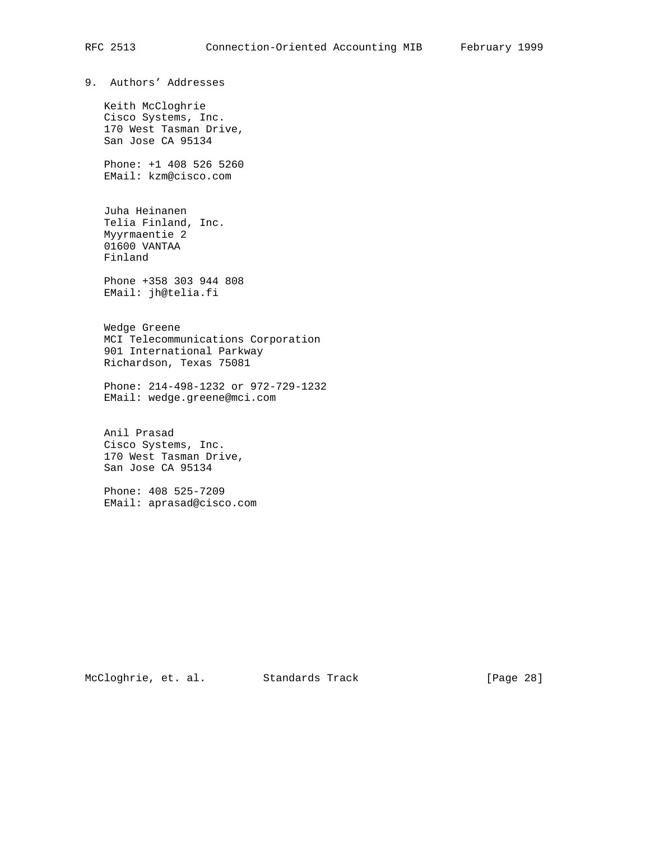9. Authors' Addresses

 Keith McCloghrie Cisco Systems, Inc. 170 West Tasman Drive, San Jose CA 95134

 Phone: +1 408 526 5260 EMail: kzm@cisco.com

 Juha Heinanen Telia Finland, Inc. Myyrmaentie 2 01600 VANTAA Finland

 Phone +358 303 944 808 EMail: jh@telia.fi

 Wedge Greene MCI Telecommunications Corporation 901 International Parkway Richardson, Texas 75081

 Phone: 214-498-1232 or 972-729-1232 EMail: wedge.greene@mci.com

 Anil Prasad Cisco Systems, Inc. 170 West Tasman Drive, San Jose CA 95134

 Phone: 408 525-7209 EMail: aprasad@cisco.com

McCloghrie, et. al. Standards Track [Page 28]